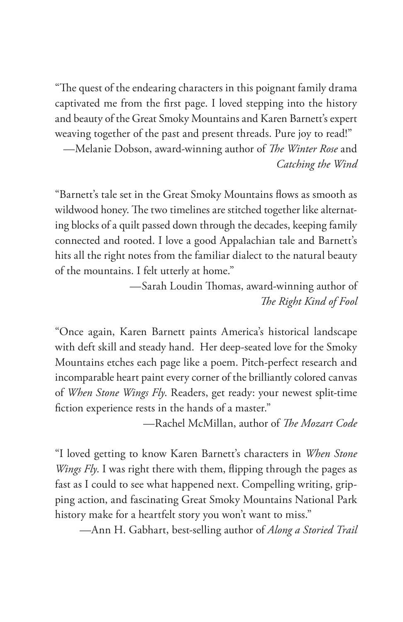"The quest of the endearing characters in this poignant family drama captivated me from the first page. I loved stepping into the history and beauty of the Great Smoky Mountains and Karen Barnett's expert weaving together of the past and present threads. Pure joy to read!"

—Melanie Dobson, award-winning author of *The Winter Rose* and *Catching the Wind*

"Barnett's tale set in the Great Smoky Mountains flows as smooth as wildwood honey. The two timelines are stitched together like alternating blocks of a quilt passed down through the decades, keeping family connected and rooted. I love a good Appalachian tale and Barnett's hits all the right notes from the familiar dialect to the natural beauty of the mountains. I felt utterly at home."

> —Sarah Loudin Thomas, award-winning author of *The Right Kind of Fool*

"Once again, Karen Barnett paints America's historical landscape with deft skill and steady hand. Her deep-seated love for the Smoky Mountains etches each page like a poem. Pitch-perfect research and incomparable heart paint every corner of the brilliantly colored canvas of *When Stone Wings Fly*. Readers, get ready: your newest split-time fiction experience rests in the hands of a master."

—Rachel McMillan, author of *The Mozart Code* 

"I loved getting to know Karen Barnett's characters in *When Stone Wings Fly*. I was right there with them, flipping through the pages as fast as I could to see what happened next. Compelling writing, gripping action, and fascinating Great Smoky Mountains National Park history make for a heartfelt story you won't want to miss."

—Ann H. Gabhart, best-selling author of *Along a Storied Trail*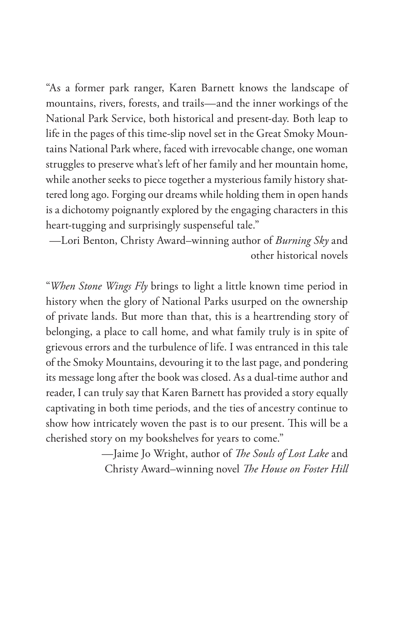"As a former park ranger, Karen Barnett knows the landscape of mountains, rivers, forests, and trails—and the inner workings of the National Park Service, both historical and present-day. Both leap to life in the pages of this time-slip novel set in the Great Smoky Mountains National Park where, faced with irrevocable change, one woman struggles to preserve what's left of her family and her mountain home, while another seeks to piece together a mysterious family history shattered long ago. Forging our dreams while holding them in open hands is a dichotomy poignantly explored by the engaging characters in this heart-tugging and surprisingly suspenseful tale."

—Lori Benton, Christy Award–winning author of *Burning Sky* and other historical novels

"*When Stone Wings Fly* brings to light a little known time period in history when the glory of National Parks usurped on the ownership of private lands. But more than that, this is a heartrending story of belonging, a place to call home, and what family truly is in spite of grievous errors and the turbulence of life. I was entranced in this tale of the Smoky Mountains, devouring it to the last page, and pondering its message long after the book was closed. As a dual-time author and reader, I can truly say that Karen Barnett has provided a story equally captivating in both time periods, and the ties of ancestry continue to show how intricately woven the past is to our present. This will be a cherished story on my bookshelves for years to come."

> —Jaime Jo Wright, author of *The Souls of Lost Lake* and Christy Award–winning novel *The House on Foster Hill*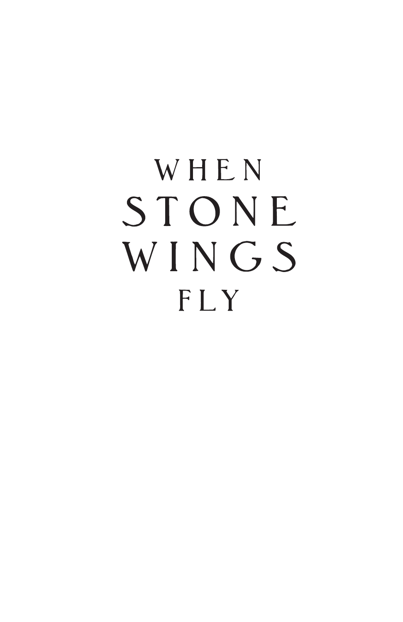## WHEN STONE WINGS FLY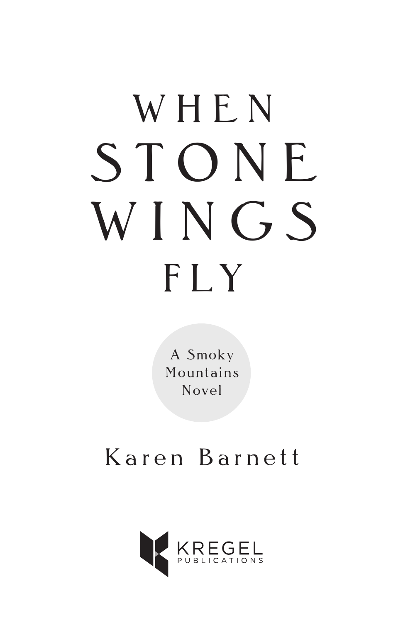# WHEN STONE WINGS FLY

A Smoky Mountains Novel

### Karen Barnett

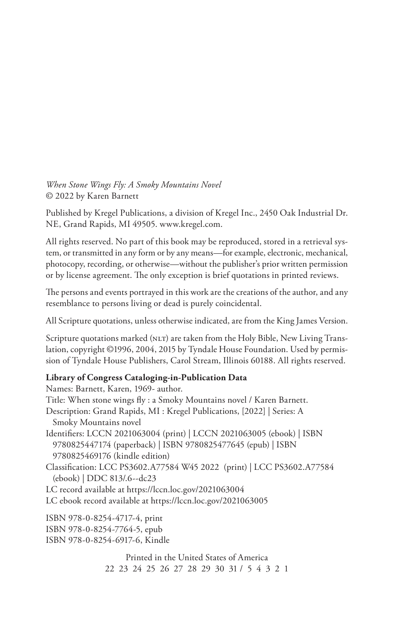*When Stone Wings Fly: A Smoky Mountains Novel* © 2022 by Karen Barnett

Published by Kregel Publications, a division of Kregel Inc., 2450 Oak Industrial Dr. NE, Grand Rapids, MI 49505. www.kregel.com.

All rights reserved. No part of this book may be reproduced, stored in a retrieval system, or transmitted in any form or by any means—for example, electronic, mechanical, photocopy, recording, or otherwise—without the publisher's prior written permission or by license agreement. The only exception is brief quotations in printed reviews.

The persons and events portrayed in this work are the creations of the author, and any resemblance to persons living or dead is purely coincidental.

All Scripture quotations, unless otherwise indicated, are from the King James Version.

Scripture quotations marked (NLT) are taken from the Holy Bible, New Living Translation, copyright ©1996, 2004, 2015 by Tyndale House Foundation. Used by permission of Tyndale House Publishers, Carol Stream, Illinois 60188. All rights reserved.

#### **Library of Congress Cataloging-in-Publication Data**

Names: Barnett, Karen, 1969- author. Title: When stone wings fly : a Smoky Mountains novel / Karen Barnett. Description: Grand Rapids, MI : Kregel Publications, [2022] | Series: A Smoky Mountains novel Identifiers: LCCN 2021063004 (print) | LCCN 2021063005 (ebook) | ISBN 9780825447174 (paperback) | ISBN 9780825477645 (epub) | ISBN 9780825469176 (kindle edition) Classification: LCC PS3602.A77584 W45 2022 (print) | LCC PS3602.A77584 (ebook) | DDC 813/.6--dc23 LC record available at https://lccn.loc.gov/2021063004 LC ebook record available at https://lccn.loc.gov/2021063005 ISBN 978-0-8254-4717-4, print

ISBN 978-0-8254-7764-5, epub ISBN 978-0-8254-6917-6, Kindle

> Printed in the United States of America 22 23 24 25 26 27 28 29 30 31 / 5 4 3 2 1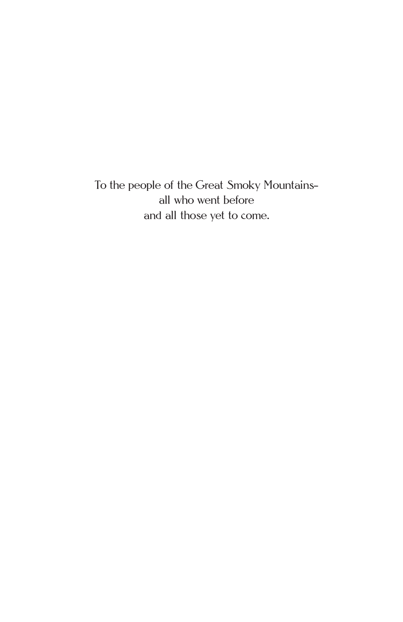To the people of the Great Smoky Mountains all who went before and all those yet to come.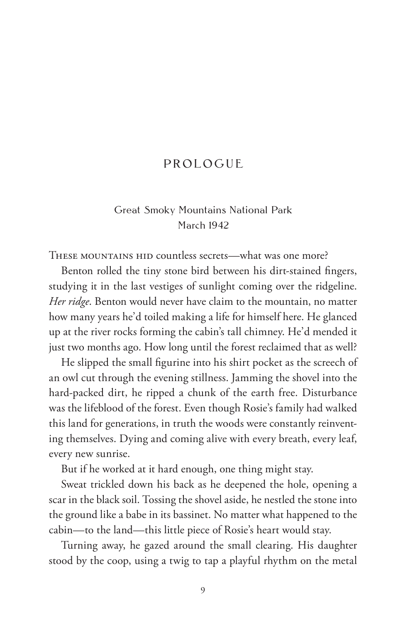#### PROLOGUE

#### Great Smoky Mountains National Park March 1942

THESE MOUNTAINS HID countless secrets—what was one more?

Benton rolled the tiny stone bird between his dirt-stained fingers, studying it in the last vestiges of sunlight coming over the ridgeline. *Her ridge*. Benton would never have claim to the mountain, no matter how many years he'd toiled making a life for himself here. He glanced up at the river rocks forming the cabin's tall chimney. He'd mended it just two months ago. How long until the forest reclaimed that as well?

He slipped the small figurine into his shirt pocket as the screech of an owl cut through the evening stillness. Jamming the shovel into the hard-packed dirt, he ripped a chunk of the earth free. Disturbance was the lifeblood of the forest. Even though Rosie's family had walked this land for generations, in truth the woods were constantly reinventing themselves. Dying and coming alive with every breath, every leaf, every new sunrise.

But if he worked at it hard enough, one thing might stay.

Sweat trickled down his back as he deepened the hole, opening a scar in the black soil. Tossing the shovel aside, he nestled the stone into the ground like a babe in its bassinet. No matter what happened to the cabin—to the land—this little piece of Rosie's heart would stay.

Turning away, he gazed around the small clearing. His daughter stood by the coop, using a twig to tap a playful rhythm on the metal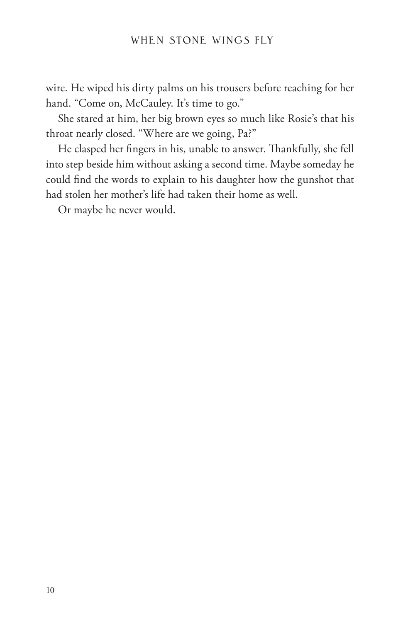wire. He wiped his dirty palms on his trousers before reaching for her hand. "Come on, McCauley. It's time to go."

She stared at him, her big brown eyes so much like Rosie's that his throat nearly closed. "Where are we going, Pa?"

He clasped her fingers in his, unable to answer. Thankfully, she fell into step beside him without asking a second time. Maybe someday he could find the words to explain to his daughter how the gunshot that had stolen her mother's life had taken their home as well.

Or maybe he never would.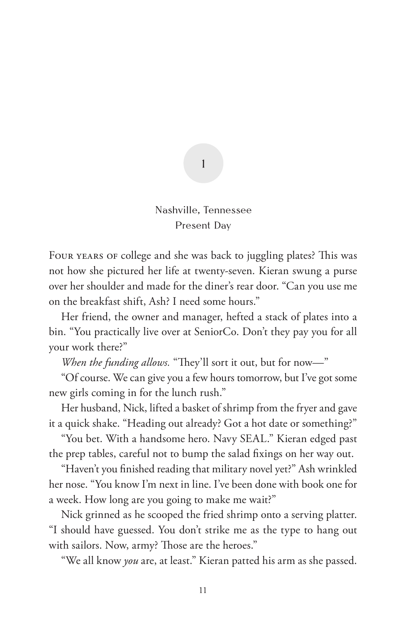#### Nashville, Tennessee Present Day

1

FOUR YEARS OF college and she was back to juggling plates? This was not how she pictured her life at twenty-seven. Kieran swung a purse over her shoulder and made for the diner's rear door. "Can you use me on the breakfast shift, Ash? I need some hours."

Her friend, the owner and manager, hefted a stack of plates into a bin. "You practically live over at SeniorCo. Don't they pay you for all your work there?"

*When the funding allows.* "They'll sort it out, but for now—"

"Of course. We can give you a few hours tomorrow, but I've got some new girls coming in for the lunch rush."

Her husband, Nick, lifted a basket of shrimp from the fryer and gave it a quick shake. "Heading out already? Got a hot date or something?"

"You bet. With a handsome hero. Navy SEAL." Kieran edged past the prep tables, careful not to bump the salad fixings on her way out.

"Haven't you finished reading that military novel yet?" Ash wrinkled her nose. "You know I'm next in line. I've been done with book one for a week. How long are you going to make me wait?"

Nick grinned as he scooped the fried shrimp onto a serving platter. "I should have guessed. You don't strike me as the type to hang out with sailors. Now, army? Those are the heroes."

"We all know *you* are, at least." Kieran patted his arm as she passed.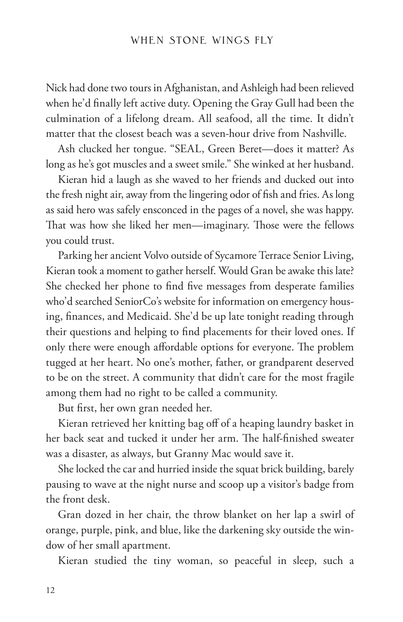Nick had done two tours in Afghanistan, and Ashleigh had been relieved when he'd finally left active duty. Opening the Gray Gull had been the culmination of a lifelong dream. All seafood, all the time. It didn't matter that the closest beach was a seven-hour drive from Nashville.

Ash clucked her tongue. "SEAL, Green Beret—does it matter? As long as he's got muscles and a sweet smile." She winked at her husband.

Kieran hid a laugh as she waved to her friends and ducked out into the fresh night air, away from the lingering odor of fish and fries. As long as said hero was safely ensconced in the pages of a novel, she was happy. That was how she liked her men—imaginary. Those were the fellows you could trust.

Parking her ancient Volvo outside of Sycamore Terrace Senior Living, Kieran took a moment to gather herself. Would Gran be awake this late? She checked her phone to find five messages from desperate families who'd searched SeniorCo's website for information on emergency housing, finances, and Medicaid. She'd be up late tonight reading through their questions and helping to find placements for their loved ones. If only there were enough affordable options for everyone. The problem tugged at her heart. No one's mother, father, or grandparent deserved to be on the street. A community that didn't care for the most fragile among them had no right to be called a community.

But first, her own gran needed her.

Kieran retrieved her knitting bag off of a heaping laundry basket in her back seat and tucked it under her arm. The half-finished sweater was a disaster, as always, but Granny Mac would save it.

She locked the car and hurried inside the squat brick building, barely pausing to wave at the night nurse and scoop up a visitor's badge from the front desk.

Gran dozed in her chair, the throw blanket on her lap a swirl of orange, purple, pink, and blue, like the darkening sky outside the window of her small apartment.

Kieran studied the tiny woman, so peaceful in sleep, such a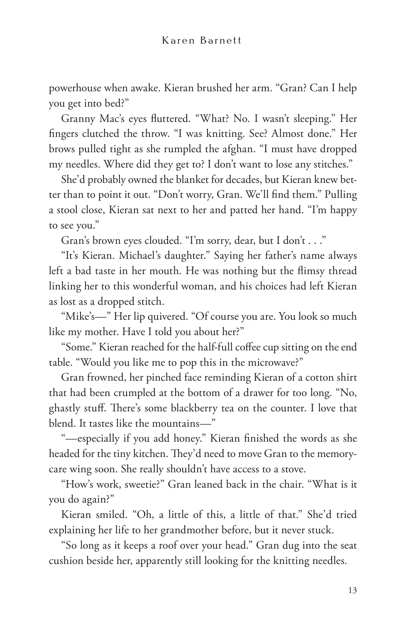powerhouse when awake. Kieran brushed her arm. "Gran? Can I help you get into bed?"

Granny Mac's eyes fluttered. "What? No. I wasn't sleeping." Her fingers clutched the throw. "I was knitting. See? Almost done." Her brows pulled tight as she rumpled the afghan. "I must have dropped my needles. Where did they get to? I don't want to lose any stitches."

She'd probably owned the blanket for decades, but Kieran knew better than to point it out. "Don't worry, Gran. We'll find them." Pulling a stool close, Kieran sat next to her and patted her hand. "I'm happy to see you."

Gran's brown eyes clouded. "I'm sorry, dear, but I don't . . ."

"It's Kieran. Michael's daughter." Saying her father's name always left a bad taste in her mouth. He was nothing but the flimsy thread linking her to this wonderful woman, and his choices had left Kieran as lost as a dropped stitch.

"Mike's—" Her lip quivered. "Of course you are. You look so much like my mother. Have I told you about her?"

"Some." Kieran reached for the half-full coffee cup sitting on the end table. "Would you like me to pop this in the microwave?"

Gran frowned, her pinched face reminding Kieran of a cotton shirt that had been crumpled at the bottom of a drawer for too long. "No, ghastly stuff. There's some blackberry tea on the counter. I love that blend. It tastes like the mountains—"

"—especially if you add honey." Kieran finished the words as she headed for the tiny kitchen. They'd need to move Gran to the memorycare wing soon. She really shouldn't have access to a stove.

"How's work, sweetie?" Gran leaned back in the chair. "What is it you do again?"

Kieran smiled. "Oh, a little of this, a little of that." She'd tried explaining her life to her grandmother before, but it never stuck.

"So long as it keeps a roof over your head." Gran dug into the seat cushion beside her, apparently still looking for the knitting needles.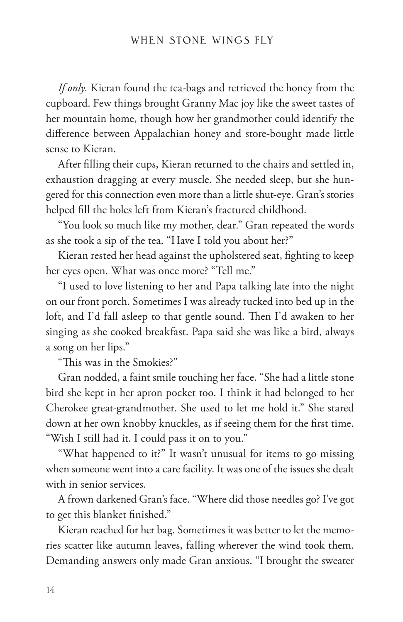*If only.* Kieran found the tea-bags and retrieved the honey from the cupboard. Few things brought Granny Mac joy like the sweet tastes of her mountain home, though how her grandmother could identify the difference between Appalachian honey and store-bought made little sense to Kieran.

After filling their cups, Kieran returned to the chairs and settled in, exhaustion dragging at every muscle. She needed sleep, but she hungered for this connection even more than a little shut-eye. Gran's stories helped fill the holes left from Kieran's fractured childhood.

"You look so much like my mother, dear." Gran repeated the words as she took a sip of the tea. "Have I told you about her?"

Kieran rested her head against the upholstered seat, fighting to keep her eyes open. What was once more? "Tell me."

"I used to love listening to her and Papa talking late into the night on our front porch. Sometimes I was already tucked into bed up in the loft, and I'd fall asleep to that gentle sound. Then I'd awaken to her singing as she cooked breakfast. Papa said she was like a bird, always a song on her lips."

"This was in the Smokies?"

Gran nodded, a faint smile touching her face. "She had a little stone bird she kept in her apron pocket too. I think it had belonged to her Cherokee great-grandmother. She used to let me hold it." She stared down at her own knobby knuckles, as if seeing them for the first time. "Wish I still had it. I could pass it on to you."

"What happened to it?" It wasn't unusual for items to go missing when someone went into a care facility. It was one of the issues she dealt with in senior services.

A frown darkened Gran's face. "Where did those needles go? I've got to get this blanket finished."

Kieran reached for her bag. Sometimes it was better to let the memories scatter like autumn leaves, falling wherever the wind took them. Demanding answers only made Gran anxious. "I brought the sweater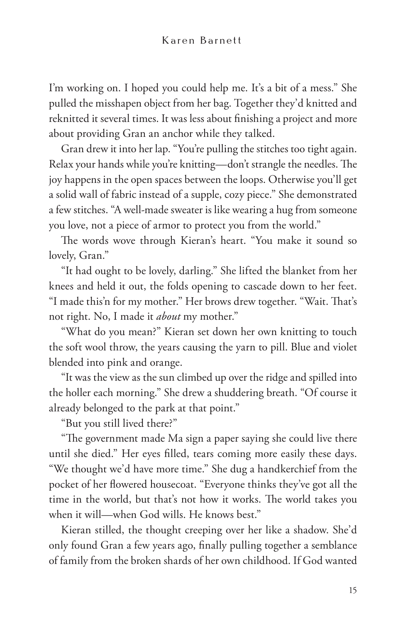I'm working on. I hoped you could help me. It's a bit of a mess." She pulled the misshapen object from her bag. Together they'd knitted and reknitted it several times. It was less about finishing a project and more about providing Gran an anchor while they talked.

Gran drew it into her lap. "You're pulling the stitches too tight again. Relax your hands while you're knitting—don't strangle the needles. The joy happens in the open spaces between the loops. Otherwise you'll get a solid wall of fabric instead of a supple, cozy piece." She demonstrated a few stitches. "A well-made sweater is like wearing a hug from someone you love, not a piece of armor to protect you from the world."

The words wove through Kieran's heart. "You make it sound so lovely, Gran."

"It had ought to be lovely, darling." She lifted the blanket from her knees and held it out, the folds opening to cascade down to her feet. "I made this'n for my mother." Her brows drew together. "Wait. That's not right. No, I made it *about* my mother."

"What do you mean?" Kieran set down her own knitting to touch the soft wool throw, the years causing the yarn to pill. Blue and violet blended into pink and orange.

"It was the view as the sun climbed up over the ridge and spilled into the holler each morning." She drew a shuddering breath. "Of course it already belonged to the park at that point."

"But you still lived there?"

"The government made Ma sign a paper saying she could live there until she died." Her eyes filled, tears coming more easily these days. "We thought we'd have more time." She dug a handkerchief from the pocket of her flowered housecoat. "Everyone thinks they've got all the time in the world, but that's not how it works. The world takes you when it will—when God wills. He knows best."

Kieran stilled, the thought creeping over her like a shadow. She'd only found Gran a few years ago, finally pulling together a semblance of family from the broken shards of her own childhood. If God wanted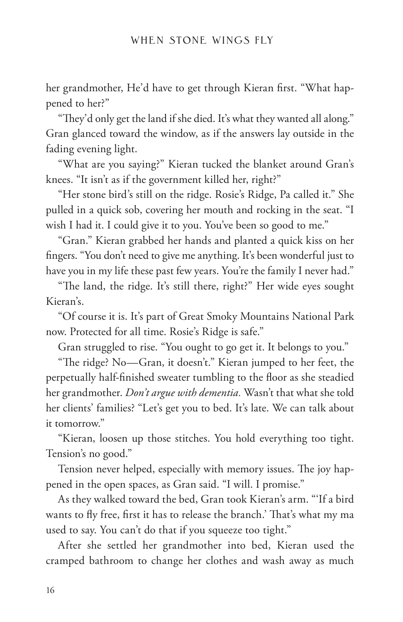her grandmother, He'd have to get through Kieran first. "What happened to her?"

"They'd only get the land if she died. It's what they wanted all along." Gran glanced toward the window, as if the answers lay outside in the fading evening light.

"What are you saying?" Kieran tucked the blanket around Gran's knees. "It isn't as if the government killed her, right?"

"Her stone bird's still on the ridge. Rosie's Ridge, Pa called it." She pulled in a quick sob, covering her mouth and rocking in the seat. "I wish I had it. I could give it to you. You've been so good to me."

"Gran." Kieran grabbed her hands and planted a quick kiss on her fingers. "You don't need to give me anything. It's been wonderful just to have you in my life these past few years. You're the family I never had."

"The land, the ridge. It's still there, right?" Her wide eyes sought Kieran's.

"Of course it is. It's part of Great Smoky Mountains National Park now. Protected for all time. Rosie's Ridge is safe."

Gran struggled to rise. "You ought to go get it. It belongs to you."

"The ridge? No—Gran, it doesn't." Kieran jumped to her feet, the perpetually half-finished sweater tumbling to the floor as she steadied her grandmother. *Don't argue with dementia.* Wasn't that what she told her clients' families? "Let's get you to bed. It's late. We can talk about it tomorrow."

"Kieran, loosen up those stitches. You hold everything too tight. Tension's no good."

Tension never helped, especially with memory issues. The joy happened in the open spaces, as Gran said. "I will. I promise."

As they walked toward the bed, Gran took Kieran's arm. "'If a bird wants to fly free, first it has to release the branch.' That's what my ma used to say. You can't do that if you squeeze too tight."

After she settled her grandmother into bed, Kieran used the cramped bathroom to change her clothes and wash away as much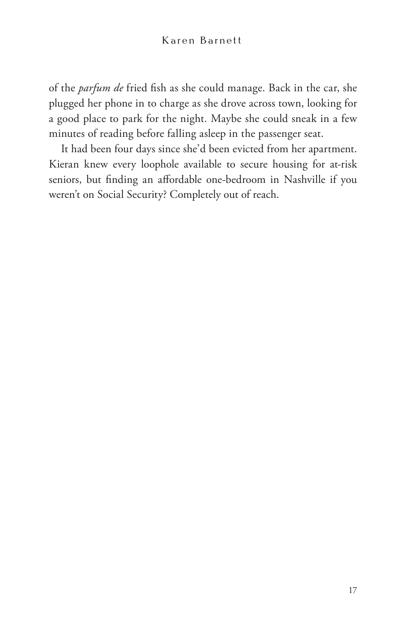of the *parfum de* fried fish as she could manage. Back in the car, she plugged her phone in to charge as she drove across town, looking for a good place to park for the night. Maybe she could sneak in a few minutes of reading before falling asleep in the passenger seat.

It had been four days since she'd been evicted from her apartment. Kieran knew every loophole available to secure housing for at-risk seniors, but finding an affordable one-bedroom in Nashville if you weren't on Social Security? Completely out of reach.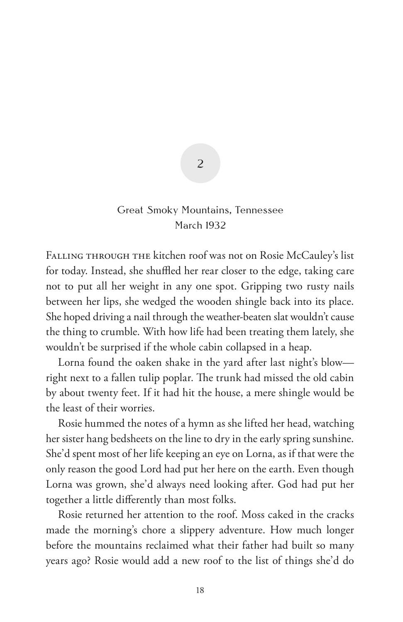#### Great Smoky Mountains, Tennessee March 1932

 $\overline{\phantom{0}}$ 

FALLING THROUGH THE kitchen roof was not on Rosie McCauley's list for today. Instead, she shuffled her rear closer to the edge, taking care not to put all her weight in any one spot. Gripping two rusty nails between her lips, she wedged the wooden shingle back into its place. She hoped driving a nail through the weather-beaten slat wouldn't cause the thing to crumble. With how life had been treating them lately, she wouldn't be surprised if the whole cabin collapsed in a heap.

Lorna found the oaken shake in the yard after last night's blow right next to a fallen tulip poplar. The trunk had missed the old cabin by about twenty feet. If it had hit the house, a mere shingle would be the least of their worries.

Rosie hummed the notes of a hymn as she lifted her head, watching her sister hang bedsheets on the line to dry in the early spring sunshine. She'd spent most of her life keeping an eye on Lorna, as if that were the only reason the good Lord had put her here on the earth. Even though Lorna was grown, she'd always need looking after. God had put her together a little differently than most folks.

Rosie returned her attention to the roof. Moss caked in the cracks made the morning's chore a slippery adventure. How much longer before the mountains reclaimed what their father had built so many years ago? Rosie would add a new roof to the list of things she'd do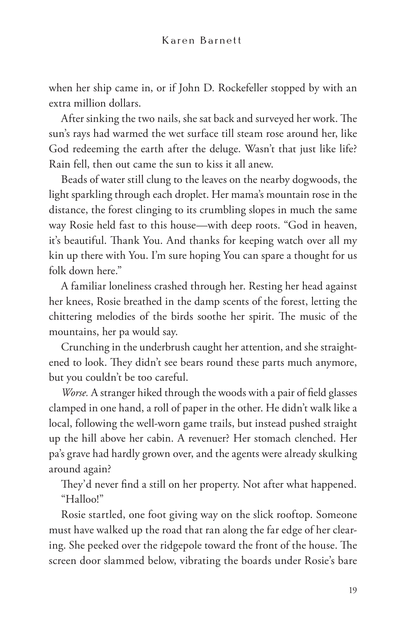when her ship came in, or if John D. Rockefeller stopped by with an extra million dollars.

After sinking the two nails, she sat back and surveyed her work. The sun's rays had warmed the wet surface till steam rose around her, like God redeeming the earth after the deluge. Wasn't that just like life? Rain fell, then out came the sun to kiss it all anew.

Beads of water still clung to the leaves on the nearby dogwoods, the light sparkling through each droplet. Her mama's mountain rose in the distance, the forest clinging to its crumbling slopes in much the same way Rosie held fast to this house—with deep roots. "God in heaven, it's beautiful. Thank You. And thanks for keeping watch over all my kin up there with You. I'm sure hoping You can spare a thought for us folk down here."

A familiar loneliness crashed through her. Resting her head against her knees, Rosie breathed in the damp scents of the forest, letting the chittering melodies of the birds soothe her spirit. The music of the mountains, her pa would say.

Crunching in the underbrush caught her attention, and she straightened to look. They didn't see bears round these parts much anymore, but you couldn't be too careful.

*Worse.* A stranger hiked through the woods with a pair of field glasses clamped in one hand, a roll of paper in the other. He didn't walk like a local, following the well-worn game trails, but instead pushed straight up the hill above her cabin. A revenuer? Her stomach clenched. Her pa's grave had hardly grown over, and the agents were already skulking around again?

They'd never find a still on her property. Not after what happened. "Halloo!"

Rosie startled, one foot giving way on the slick rooftop. Someone must have walked up the road that ran along the far edge of her clearing. She peeked over the ridgepole toward the front of the house. The screen door slammed below, vibrating the boards under Rosie's bare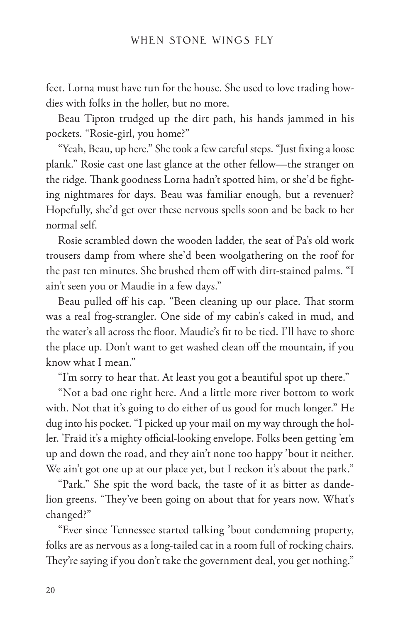feet. Lorna must have run for the house. She used to love trading howdies with folks in the holler, but no more.

Beau Tipton trudged up the dirt path, his hands jammed in his pockets. "Rosie-girl, you home?"

"Yeah, Beau, up here." She took a few careful steps. "Just fixing a loose plank." Rosie cast one last glance at the other fellow—the stranger on the ridge. Thank goodness Lorna hadn't spotted him, or she'd be fighting nightmares for days. Beau was familiar enough, but a revenuer? Hopefully, she'd get over these nervous spells soon and be back to her normal self.

Rosie scrambled down the wooden ladder, the seat of Pa's old work trousers damp from where she'd been woolgathering on the roof for the past ten minutes. She brushed them off with dirt-stained palms. "I ain't seen you or Maudie in a few days."

Beau pulled off his cap. "Been cleaning up our place. That storm was a real frog-strangler. One side of my cabin's caked in mud, and the water's all across the floor. Maudie's fit to be tied. I'll have to shore the place up. Don't want to get washed clean off the mountain, if you know what I mean."

"I'm sorry to hear that. At least you got a beautiful spot up there."

"Not a bad one right here. And a little more river bottom to work with. Not that it's going to do either of us good for much longer." He dug into his pocket. "I picked up your mail on my way through the holler. 'Fraid it's a mighty official-looking envelope. Folks been getting 'em up and down the road, and they ain't none too happy 'bout it neither. We ain't got one up at our place yet, but I reckon it's about the park."

"Park." She spit the word back, the taste of it as bitter as dandelion greens. "They've been going on about that for years now. What's changed?"

"Ever since Tennessee started talking 'bout condemning property, folks are as nervous as a long-tailed cat in a room full of rocking chairs. They're saying if you don't take the government deal, you get nothing."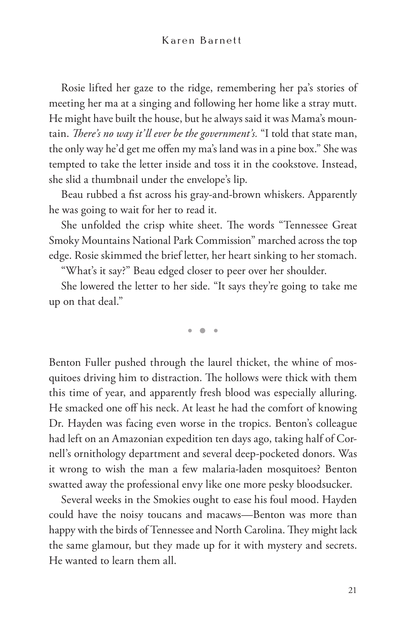Rosie lifted her gaze to the ridge, remembering her pa's stories of meeting her ma at a singing and following her home like a stray mutt. He might have built the house, but he always said it was Mama's mountain. *There's no way it'll ever be the government's.* "I told that state man, the only way he'd get me offen my ma's land was in a pine box." She was tempted to take the letter inside and toss it in the cookstove. Instead, she slid a thumbnail under the envelope's lip.

Beau rubbed a fist across his gray-and-brown whiskers. Apparently he was going to wait for her to read it.

She unfolded the crisp white sheet. The words "Tennessee Great Smoky Mountains National Park Commission" marched across the top edge. Rosie skimmed the brief letter, her heart sinking to her stomach.

"What's it say?" Beau edged closer to peer over her shoulder.

She lowered the letter to her side. "It says they're going to take me up on that deal."

• • •

Benton Fuller pushed through the laurel thicket, the whine of mosquitoes driving him to distraction. The hollows were thick with them this time of year, and apparently fresh blood was especially alluring. He smacked one off his neck. At least he had the comfort of knowing Dr. Hayden was facing even worse in the tropics. Benton's colleague had left on an Amazonian expedition ten days ago, taking half of Cornell's ornithology department and several deep-pocketed donors. Was it wrong to wish the man a few malaria-laden mosquitoes? Benton swatted away the professional envy like one more pesky bloodsucker.

Several weeks in the Smokies ought to ease his foul mood. Hayden could have the noisy toucans and macaws—Benton was more than happy with the birds of Tennessee and North Carolina. They might lack the same glamour, but they made up for it with mystery and secrets. He wanted to learn them all.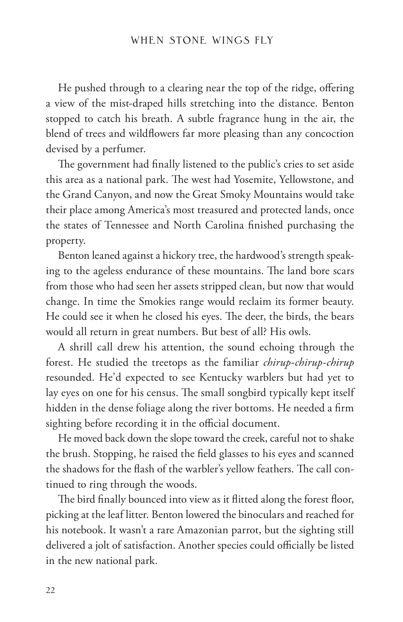He pushed through to a clearing near the top of the ridge, offering a view of the mist-draped hills stretching into the distance. Benton stopped to catch his breath. A subtle fragrance hung in the air, the blend of trees and wildflowers far more pleasing than any concoction devised by a perfumer.

The government had finally listened to the public's cries to set aside this area as a national park. The west had Yosemite, Yellowstone, and the Grand Canyon, and now the Great Smoky Mountains would take their place among America's most treasured and protected lands, once the states of Tennessee and North Carolina finished purchasing the property.

Benton leaned against a hickory tree, the hardwood's strength speaking to the ageless endurance of these mountains. The land bore scars from those who had seen her assets stripped clean, but now that would change. In time the Smokies range would reclaim its former beauty. He could see it when he closed his eyes. The deer, the birds, the bears would all return in great numbers. But best of all? His owls.

A shrill call drew his attention, the sound echoing through the forest. He studied the treetops as the familiar *chirup-chirup-chirup* resounded. He'd expected to see Kentucky warblers but had yet to lay eyes on one for his census. The small songbird typically kept itself hidden in the dense foliage along the river bottoms. He needed a firm sighting before recording it in the official document.

He moved back down the slope toward the creek, careful not to shake the brush. Stopping, he raised the field glasses to his eyes and scanned the shadows for the flash of the warbler's yellow feathers. The call continued to ring through the woods.

The bird finally bounced into view as it flitted along the forest floor, picking at the leaf litter. Benton lowered the binoculars and reached for his notebook. It wasn't a rare Amazonian parrot, but the sighting still delivered a jolt of satisfaction. Another species could officially be listed in the new national park.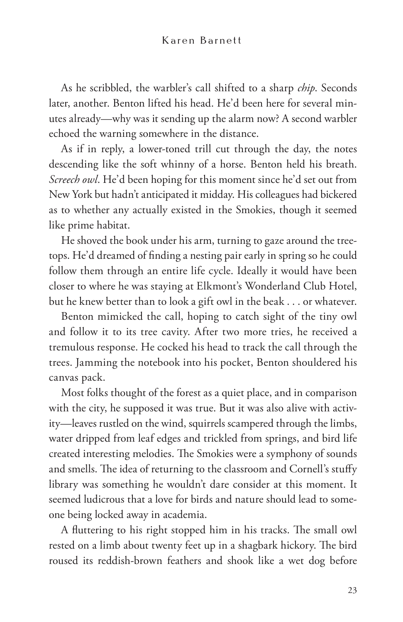As he scribbled, the warbler's call shifted to a sharp *chip*. Seconds later, another. Benton lifted his head. He'd been here for several minutes already—why was it sending up the alarm now? A second warbler echoed the warning somewhere in the distance.

As if in reply, a lower-toned trill cut through the day, the notes descending like the soft whinny of a horse. Benton held his breath. *Screech owl*. He'd been hoping for this moment since he'd set out from New York but hadn't anticipated it midday. His colleagues had bickered as to whether any actually existed in the Smokies, though it seemed like prime habitat.

He shoved the book under his arm, turning to gaze around the treetops. He'd dreamed of finding a nesting pair early in spring so he could follow them through an entire life cycle. Ideally it would have been closer to where he was staying at Elkmont's Wonderland Club Hotel, but he knew better than to look a gift owl in the beak . . . or whatever.

Benton mimicked the call, hoping to catch sight of the tiny owl and follow it to its tree cavity. After two more tries, he received a tremulous response. He cocked his head to track the call through the trees. Jamming the notebook into his pocket, Benton shouldered his canvas pack.

Most folks thought of the forest as a quiet place, and in comparison with the city, he supposed it was true. But it was also alive with activity—leaves rustled on the wind, squirrels scampered through the limbs, water dripped from leaf edges and trickled from springs, and bird life created interesting melodies. The Smokies were a symphony of sounds and smells. The idea of returning to the classroom and Cornell's stuffy library was something he wouldn't dare consider at this moment. It seemed ludicrous that a love for birds and nature should lead to someone being locked away in academia.

A fluttering to his right stopped him in his tracks. The small owl rested on a limb about twenty feet up in a shagbark hickory. The bird roused its reddish-brown feathers and shook like a wet dog before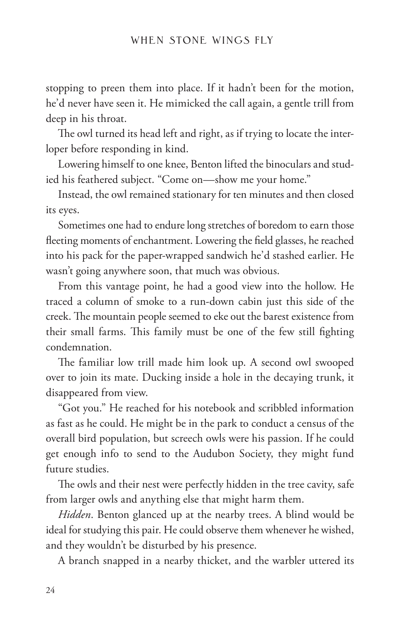stopping to preen them into place. If it hadn't been for the motion, he'd never have seen it. He mimicked the call again, a gentle trill from deep in his throat.

The owl turned its head left and right, as if trying to locate the interloper before responding in kind.

Lowering himself to one knee, Benton lifted the binoculars and studied his feathered subject. "Come on—show me your home."

Instead, the owl remained stationary for ten minutes and then closed its eyes.

Sometimes one had to endure long stretches of boredom to earn those fleeting moments of enchantment. Lowering the field glasses, he reached into his pack for the paper-wrapped sandwich he'd stashed earlier. He wasn't going anywhere soon, that much was obvious.

From this vantage point, he had a good view into the hollow. He traced a column of smoke to a run-down cabin just this side of the creek. The mountain people seemed to eke out the barest existence from their small farms. This family must be one of the few still fighting condemnation.

The familiar low trill made him look up. A second owl swooped over to join its mate. Ducking inside a hole in the decaying trunk, it disappeared from view.

"Got you." He reached for his notebook and scribbled information as fast as he could. He might be in the park to conduct a census of the overall bird population, but screech owls were his passion. If he could get enough info to send to the Audubon Society, they might fund future studies.

The owls and their nest were perfectly hidden in the tree cavity, safe from larger owls and anything else that might harm them.

*Hidden*. Benton glanced up at the nearby trees. A blind would be ideal for studying this pair. He could observe them whenever he wished, and they wouldn't be disturbed by his presence.

A branch snapped in a nearby thicket, and the warbler uttered its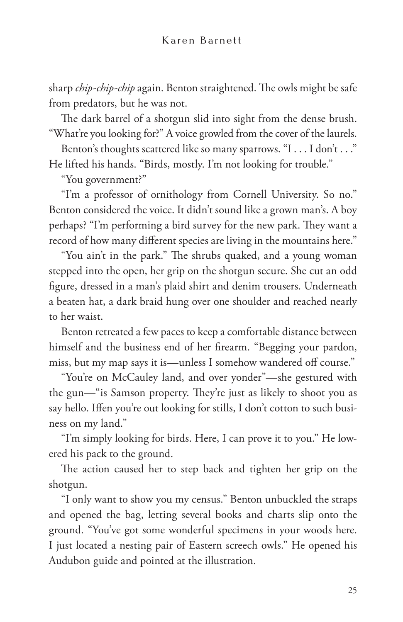sharp *chip-chip-chip* again. Benton straightened. The owls might be safe from predators, but he was not.

The dark barrel of a shotgun slid into sight from the dense brush. "What're you looking for?" A voice growled from the cover of the laurels.

Benton's thoughts scattered like so many sparrows. "I . . . I don't . . ." He lifted his hands. "Birds, mostly. I'm not looking for trouble."

"You government?"

"I'm a professor of ornithology from Cornell University. So no." Benton considered the voice. It didn't sound like a grown man's. A boy perhaps? "I'm performing a bird survey for the new park. They want a record of how many different species are living in the mountains here."

"You ain't in the park." The shrubs quaked, and a young woman stepped into the open, her grip on the shotgun secure. She cut an odd figure, dressed in a man's plaid shirt and denim trousers. Underneath a beaten hat, a dark braid hung over one shoulder and reached nearly to her waist.

Benton retreated a few paces to keep a comfortable distance between himself and the business end of her firearm. "Begging your pardon, miss, but my map says it is—unless I somehow wandered off course."

"You're on McCauley land, and over yonder"—she gestured with the gun—"is Samson property. They're just as likely to shoot you as say hello. Iffen you're out looking for stills, I don't cotton to such business on my land."

"I'm simply looking for birds. Here, I can prove it to you." He lowered his pack to the ground.

The action caused her to step back and tighten her grip on the shotgun.

"I only want to show you my census." Benton unbuckled the straps and opened the bag, letting several books and charts slip onto the ground. "You've got some wonderful specimens in your woods here. I just located a nesting pair of Eastern screech owls." He opened his Audubon guide and pointed at the illustration.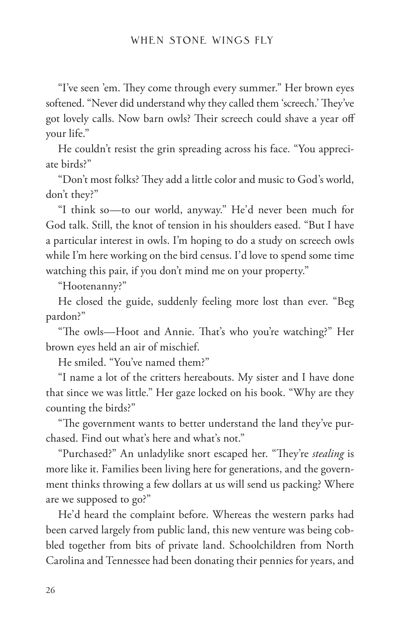"I've seen 'em. They come through every summer." Her brown eyes softened. "Never did understand why they called them 'screech.' They've got lovely calls. Now barn owls? Their screech could shave a year off your life."

He couldn't resist the grin spreading across his face. "You appreciate birds?"

"Don't most folks? They add a little color and music to God's world, don't they?"

"I think so—to our world, anyway." He'd never been much for God talk. Still, the knot of tension in his shoulders eased. "But I have a particular interest in owls. I'm hoping to do a study on screech owls while I'm here working on the bird census. I'd love to spend some time watching this pair, if you don't mind me on your property."

"Hootenanny?"

He closed the guide, suddenly feeling more lost than ever. "Beg pardon?"

"The owls—Hoot and Annie. That's who you're watching?" Her brown eyes held an air of mischief.

He smiled. "You've named them?"

"I name a lot of the critters hereabouts. My sister and I have done that since we was little." Her gaze locked on his book. "Why are they counting the birds?"

"The government wants to better understand the land they've purchased. Find out what's here and what's not."

"Purchased?" An unladylike snort escaped her. "They're *stealing* is more like it. Families been living here for generations, and the government thinks throwing a few dollars at us will send us packing? Where are we supposed to go?"

He'd heard the complaint before. Whereas the western parks had been carved largely from public land, this new venture was being cobbled together from bits of private land. Schoolchildren from North Carolina and Tennessee had been donating their pennies for years, and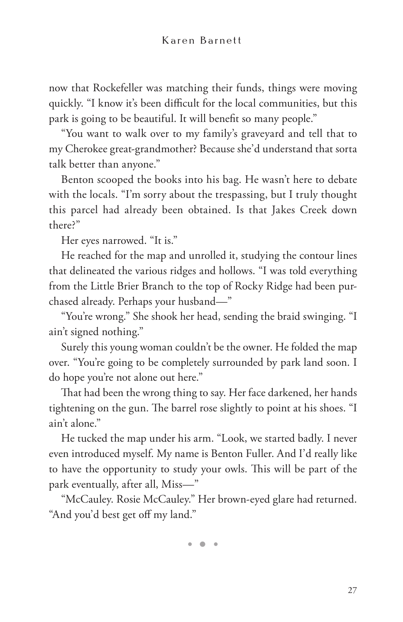now that Rockefeller was matching their funds, things were moving quickly. "I know it's been difficult for the local communities, but this park is going to be beautiful. It will benefit so many people."

"You want to walk over to my family's graveyard and tell that to my Cherokee great-grandmother? Because she'd understand that sorta talk better than anyone."

Benton scooped the books into his bag. He wasn't here to debate with the locals. "I'm sorry about the trespassing, but I truly thought this parcel had already been obtained. Is that Jakes Creek down there?"

Her eyes narrowed. "It is."

He reached for the map and unrolled it, studying the contour lines that delineated the various ridges and hollows. "I was told everything from the Little Brier Branch to the top of Rocky Ridge had been purchased already. Perhaps your husband—"

"You're wrong." She shook her head, sending the braid swinging. "I ain't signed nothing."

Surely this young woman couldn't be the owner. He folded the map over. "You're going to be completely surrounded by park land soon. I do hope you're not alone out here."

That had been the wrong thing to say. Her face darkened, her hands tightening on the gun. The barrel rose slightly to point at his shoes. "I ain't alone."

He tucked the map under his arm. "Look, we started badly. I never even introduced myself. My name is Benton Fuller. And I'd really like to have the opportunity to study your owls. This will be part of the park eventually, after all, Miss—"

"McCauley. Rosie McCauley." Her brown-eyed glare had returned. "And you'd best get off my land."

• • •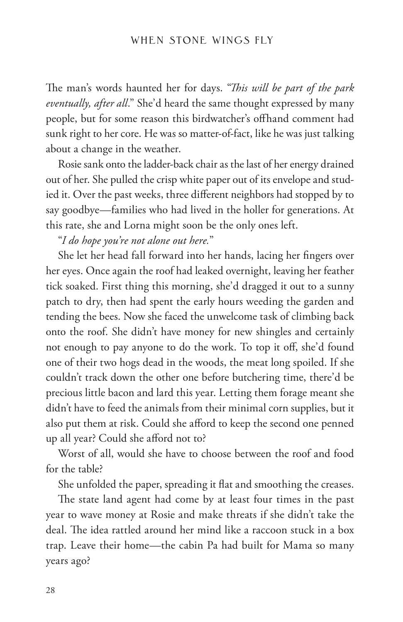The man's words haunted her for days. "*This will be part of the park eventually, after all*." She'd heard the same thought expressed by many people, but for some reason this birdwatcher's offhand comment had sunk right to her core. He was so matter-of-fact, like he was just talking about a change in the weather.

Rosie sank onto the ladder-back chair as the last of her energy drained out of her. She pulled the crisp white paper out of its envelope and studied it. Over the past weeks, three different neighbors had stopped by to say goodbye—families who had lived in the holler for generations. At this rate, she and Lorna might soon be the only ones left.

"*I do hope you're not alone out here.*"

She let her head fall forward into her hands, lacing her fingers over her eyes. Once again the roof had leaked overnight, leaving her feather tick soaked. First thing this morning, she'd dragged it out to a sunny patch to dry, then had spent the early hours weeding the garden and tending the bees. Now she faced the unwelcome task of climbing back onto the roof. She didn't have money for new shingles and certainly not enough to pay anyone to do the work. To top it off, she'd found one of their two hogs dead in the woods, the meat long spoiled. If she couldn't track down the other one before butchering time, there'd be precious little bacon and lard this year. Letting them forage meant she didn't have to feed the animals from their minimal corn supplies, but it also put them at risk. Could she afford to keep the second one penned up all year? Could she afford not to?

Worst of all, would she have to choose between the roof and food for the table?

She unfolded the paper, spreading it flat and smoothing the creases.

The state land agent had come by at least four times in the past year to wave money at Rosie and make threats if she didn't take the deal. The idea rattled around her mind like a raccoon stuck in a box trap. Leave their home—the cabin Pa had built for Mama so many years ago?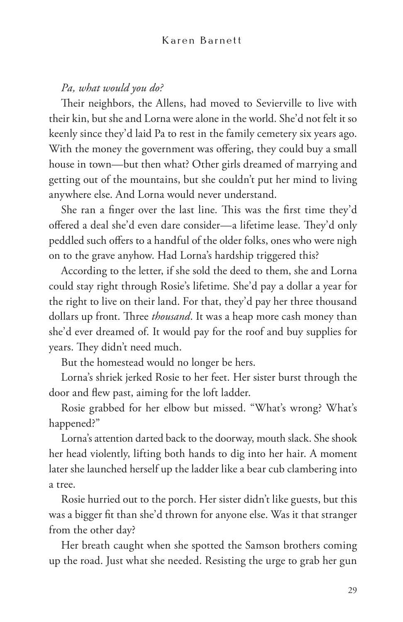#### *Pa, what would you do?*

Their neighbors, the Allens, had moved to Sevierville to live with their kin, but she and Lorna were alone in the world. She'd not felt it so keenly since they'd laid Pa to rest in the family cemetery six years ago. With the money the government was offering, they could buy a small house in town—but then what? Other girls dreamed of marrying and getting out of the mountains, but she couldn't put her mind to living anywhere else. And Lorna would never understand.

She ran a finger over the last line. This was the first time they'd offered a deal she'd even dare consider—a lifetime lease. They'd only peddled such offers to a handful of the older folks, ones who were nigh on to the grave anyhow. Had Lorna's hardship triggered this?

According to the letter, if she sold the deed to them, she and Lorna could stay right through Rosie's lifetime. She'd pay a dollar a year for the right to live on their land. For that, they'd pay her three thousand dollars up front. Three *thousand*. It was a heap more cash money than she'd ever dreamed of. It would pay for the roof and buy supplies for years. They didn't need much.

But the homestead would no longer be hers.

Lorna's shriek jerked Rosie to her feet. Her sister burst through the door and flew past, aiming for the loft ladder.

Rosie grabbed for her elbow but missed. "What's wrong? What's happened?"

Lorna's attention darted back to the doorway, mouth slack. She shook her head violently, lifting both hands to dig into her hair. A moment later she launched herself up the ladder like a bear cub clambering into a tree.

Rosie hurried out to the porch. Her sister didn't like guests, but this was a bigger fit than she'd thrown for anyone else. Was it that stranger from the other day?

Her breath caught when she spotted the Samson brothers coming up the road. Just what she needed. Resisting the urge to grab her gun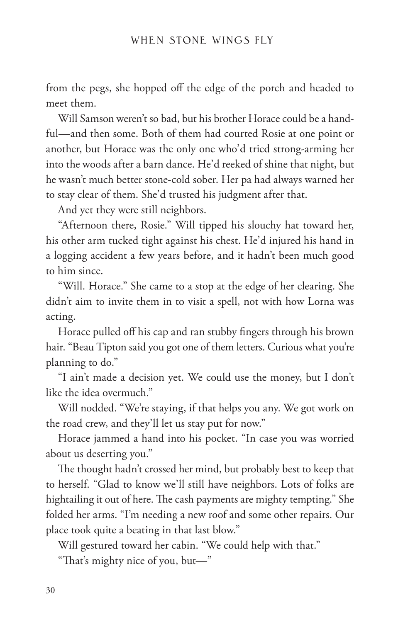from the pegs, she hopped off the edge of the porch and headed to meet them.

Will Samson weren't so bad, but his brother Horace could be a handful—and then some. Both of them had courted Rosie at one point or another, but Horace was the only one who'd tried strong-arming her into the woods after a barn dance. He'd reeked of shine that night, but he wasn't much better stone-cold sober. Her pa had always warned her to stay clear of them. She'd trusted his judgment after that.

And yet they were still neighbors.

"Afternoon there, Rosie." Will tipped his slouchy hat toward her, his other arm tucked tight against his chest. He'd injured his hand in a logging accident a few years before, and it hadn't been much good to him since.

"Will. Horace." She came to a stop at the edge of her clearing. She didn't aim to invite them in to visit a spell, not with how Lorna was acting.

Horace pulled off his cap and ran stubby fingers through his brown hair. "Beau Tipton said you got one of them letters. Curious what you're planning to do."

"I ain't made a decision yet. We could use the money, but I don't like the idea overmuch."

Will nodded. "We're staying, if that helps you any. We got work on the road crew, and they'll let us stay put for now."

Horace jammed a hand into his pocket. "In case you was worried about us deserting you."

The thought hadn't crossed her mind, but probably best to keep that to herself. "Glad to know we'll still have neighbors. Lots of folks are hightailing it out of here. The cash payments are mighty tempting." She folded her arms. "I'm needing a new roof and some other repairs. Our place took quite a beating in that last blow."

Will gestured toward her cabin. "We could help with that."

"That's mighty nice of you, but—"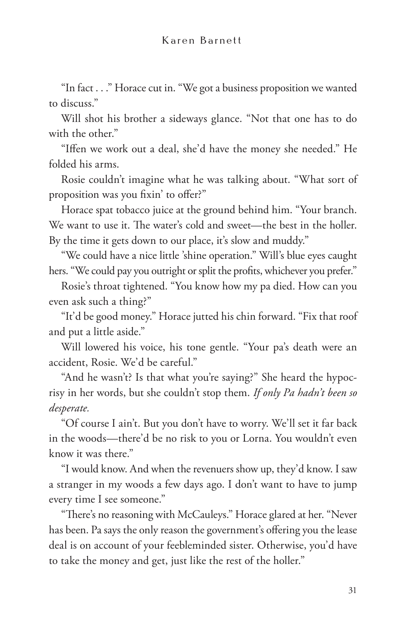"In fact . . ." Horace cut in. "We got a business proposition we wanted to discuss."

Will shot his brother a sideways glance. "Not that one has to do with the other."

"Iffen we work out a deal, she'd have the money she needed." He folded his arms.

Rosie couldn't imagine what he was talking about. "What sort of proposition was you fixin' to offer?"

Horace spat tobacco juice at the ground behind him. "Your branch. We want to use it. The water's cold and sweet—the best in the holler. By the time it gets down to our place, it's slow and muddy."

"We could have a nice little 'shine operation." Will's blue eyes caught hers. "We could pay you outright or split the profits, whichever you prefer."

Rosie's throat tightened. "You know how my pa died. How can you even ask such a thing?"

"It'd be good money." Horace jutted his chin forward. "Fix that roof and put a little aside."

Will lowered his voice, his tone gentle. "Your pa's death were an accident, Rosie. We'd be careful."

"And he wasn't? Is that what you're saying?" She heard the hypocrisy in her words, but she couldn't stop them. *If only Pa hadn't been so desperate.*

"Of course I ain't. But you don't have to worry. We'll set it far back in the woods—there'd be no risk to you or Lorna. You wouldn't even know it was there."

"I would know. And when the revenuers show up, they'd know. I saw a stranger in my woods a few days ago. I don't want to have to jump every time I see someone."

"There's no reasoning with McCauleys." Horace glared at her. "Never has been. Pa says the only reason the government's offering you the lease deal is on account of your feebleminded sister. Otherwise, you'd have to take the money and get, just like the rest of the holler."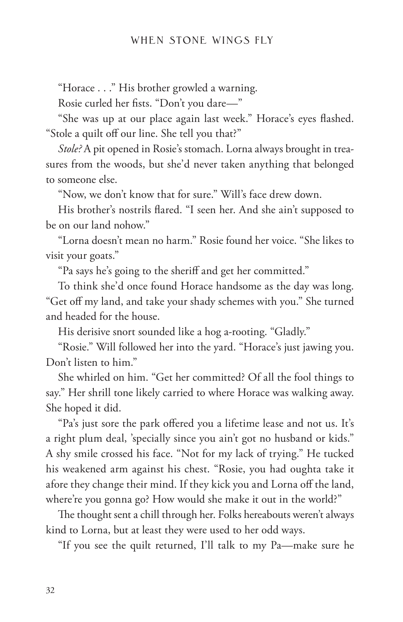"Horace . . ." His brother growled a warning.

Rosie curled her fists. "Don't you dare—"

"She was up at our place again last week." Horace's eyes flashed. "Stole a quilt off our line. She tell you that?"

*Stole?* A pit opened in Rosie's stomach. Lorna always brought in treasures from the woods, but she'd never taken anything that belonged to someone else.

"Now, we don't know that for sure." Will's face drew down.

His brother's nostrils flared. "I seen her. And she ain't supposed to be on our land nohow."

"Lorna doesn't mean no harm." Rosie found her voice. "She likes to visit your goats."

"Pa says he's going to the sheriff and get her committed."

To think she'd once found Horace handsome as the day was long. "Get off my land, and take your shady schemes with you." She turned and headed for the house.

His derisive snort sounded like a hog a-rooting. "Gladly."

"Rosie." Will followed her into the yard. "Horace's just jawing you. Don't listen to him."

She whirled on him. "Get her committed? Of all the fool things to say." Her shrill tone likely carried to where Horace was walking away. She hoped it did.

"Pa's just sore the park offered you a lifetime lease and not us. It's a right plum deal, 'specially since you ain't got no husband or kids." A shy smile crossed his face. "Not for my lack of trying." He tucked his weakened arm against his chest. "Rosie, you had oughta take it afore they change their mind. If they kick you and Lorna off the land, where're you gonna go? How would she make it out in the world?"

The thought sent a chill through her. Folks hereabouts weren't always kind to Lorna, but at least they were used to her odd ways.

"If you see the quilt returned, I'll talk to my Pa—make sure he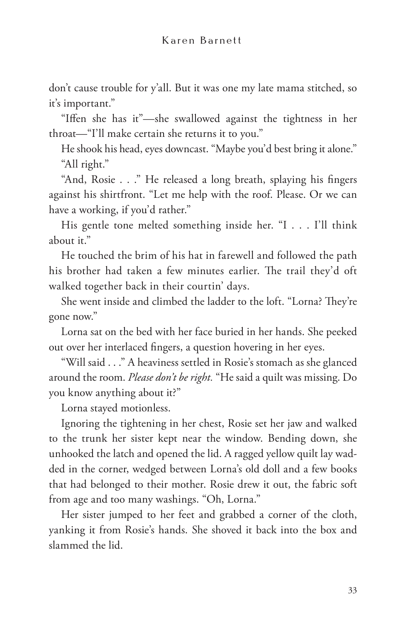don't cause trouble for y'all. But it was one my late mama stitched, so it's important."

"Iffen she has it"—she swallowed against the tightness in her throat—"I'll make certain she returns it to you."

He shook his head, eyes downcast. "Maybe you'd best bring it alone." "All right."

"And, Rosie . . ." He released a long breath, splaying his fingers against his shirtfront. "Let me help with the roof. Please. Or we can have a working, if you'd rather."

His gentle tone melted something inside her. "I . . . I'll think about it."

He touched the brim of his hat in farewell and followed the path his brother had taken a few minutes earlier. The trail they'd oft walked together back in their courtin' days.

She went inside and climbed the ladder to the loft. "Lorna? They're gone now."

Lorna sat on the bed with her face buried in her hands. She peeked out over her interlaced fingers, a question hovering in her eyes.

"Will said . . ." A heaviness settled in Rosie's stomach as she glanced around the room. *Please don't be right.* "He said a quilt was missing. Do you know anything about it?"

Lorna stayed motionless.

Ignoring the tightening in her chest, Rosie set her jaw and walked to the trunk her sister kept near the window. Bending down, she unhooked the latch and opened the lid. A ragged yellow quilt lay wadded in the corner, wedged between Lorna's old doll and a few books that had belonged to their mother. Rosie drew it out, the fabric soft from age and too many washings. "Oh, Lorna."

Her sister jumped to her feet and grabbed a corner of the cloth, yanking it from Rosie's hands. She shoved it back into the box and slammed the lid.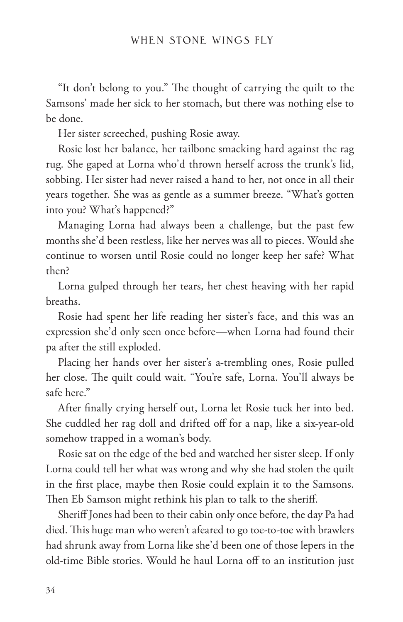"It don't belong to you." The thought of carrying the quilt to the Samsons' made her sick to her stomach, but there was nothing else to be done.

Her sister screeched, pushing Rosie away.

Rosie lost her balance, her tailbone smacking hard against the rag rug. She gaped at Lorna who'd thrown herself across the trunk's lid, sobbing. Her sister had never raised a hand to her, not once in all their years together. She was as gentle as a summer breeze. "What's gotten into you? What's happened?"

Managing Lorna had always been a challenge, but the past few months she'd been restless, like her nerves was all to pieces. Would she continue to worsen until Rosie could no longer keep her safe? What then?

Lorna gulped through her tears, her chest heaving with her rapid breaths.

Rosie had spent her life reading her sister's face, and this was an expression she'd only seen once before—when Lorna had found their pa after the still exploded.

Placing her hands over her sister's a-trembling ones, Rosie pulled her close. The quilt could wait. "You're safe, Lorna. You'll always be safe here."

After finally crying herself out, Lorna let Rosie tuck her into bed. She cuddled her rag doll and drifted off for a nap, like a six-year-old somehow trapped in a woman's body.

Rosie sat on the edge of the bed and watched her sister sleep. If only Lorna could tell her what was wrong and why she had stolen the quilt in the first place, maybe then Rosie could explain it to the Samsons. Then Eb Samson might rethink his plan to talk to the sheriff.

Sheriff Jones had been to their cabin only once before, the day Pa had died. This huge man who weren't afeared to go toe-to-toe with brawlers had shrunk away from Lorna like she'd been one of those lepers in the old-time Bible stories. Would he haul Lorna off to an institution just